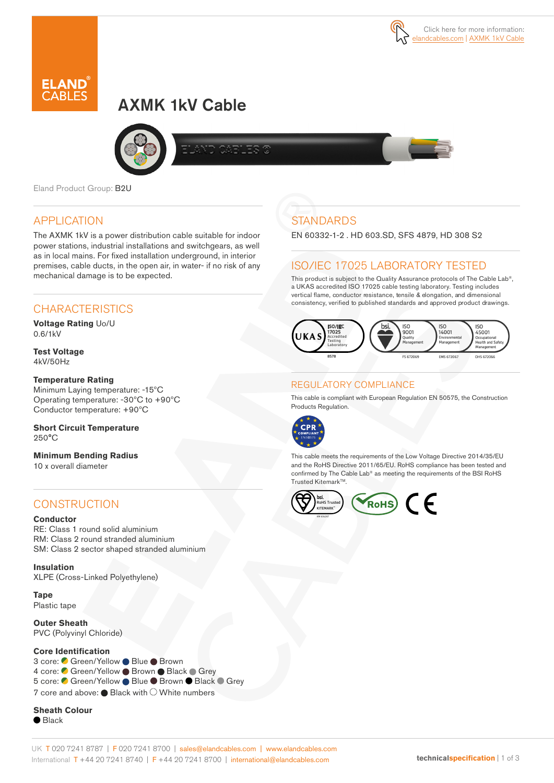



# AXMK 1kV Cable





Eland Product Group: B2U

### APPLICATION

The AXMK 1kV is a power distribution cable suitable for indoor power stations, industrial installations and switchgears, as well as in local mains. For fixed installation underground, in interior premises, cable ducts, in the open air, in water- if no risk of any mechanical damage is to be expected.

### **CHARACTERISTICS**

**Voltage Rating** Uo/U 0.6/1kV

**Test Voltage** 4kV/50Hz

#### **Temperature Rating**

Minimum Laying temperature: -15ºC Operating temperature: -30ºC to +90ºC Conductor temperature: +90ºC

#### **Short Circuit Temperature** 250°C

**Minimum Bending Radius**  10 x overall diameter

### **CONSTRUCTION**

#### **Conductor**

RE: Class 1 round solid aluminium RM: Class 2 round stranded aluminium SM: Class 2 sector shaped stranded aluminium

**Insulation** XLPE (Cross-Linked Polyethylene)

**Tape** Plastic tape

**Outer Sheath** PVC (Polyvinyl Chloride)

#### **Core Identification**

3 core: ● Green/Yellow ● Blue ● Brown 4 core: Green/Yellow Brown Black Grey 5 core: C Green/Yellow ● Blue ● Brown ● Black ● Grev 7 core and above:  $\bullet$  Black with  $\circlearrowright$  White numbers

**Sheath Colour**  $\bullet$  Black

## **STANDARDS**

EN 60332-1-2 . HD 603.SD, SFS 4879, HD 308 S2

### ISO/IEC 17025 LABORATORY TESTED

This product is subject to the Quality Assurance protocols of The Cable Lab®, a UKAS accredited ISO 17025 cable testing laboratory. Testing includes vertical flame, conductor resistance, tensile & elongation, and dimensional consistency, verified to published standards and approved product drawings.



#### REGULATORY COMPLIANCE

This cable is compliant with European Regulation EN 50575, the Construction Products Regulation.



This cable meets the requirements of the Low Voltage Directive 2014/35/EU and the RoHS Directive 2011/65/EU. RoHS compliance has been tested and confirmed by The Cable Lab® as meeting the requirements of the BSI RoHS Trusted Kitemark™.

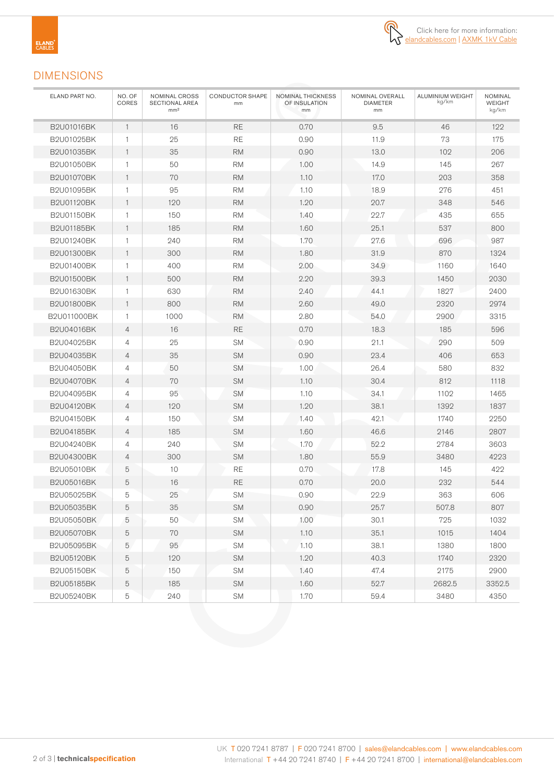

### DIMENSIONS

| ELAND PART NO.    | NO. OF<br>CORES | NOMINAL CROSS<br>SECTIONAL AREA<br>mm <sup>2</sup> | <b>CONDUCTOR SHAPE</b><br>mm | NOMINAL THICKNESS<br>OF INSULATION<br>mm | NOMINAL OVERALL<br><b>DIAMETER</b><br>mm | <b>ALUMINIUM WEIGHT</b><br>kg/km | <b>NOMINAL</b><br><b>WEIGHT</b><br>kg/km |
|-------------------|-----------------|----------------------------------------------------|------------------------------|------------------------------------------|------------------------------------------|----------------------------------|------------------------------------------|
| B2U01016BK        | $\mathbf{1}$    | 16                                                 | <b>RE</b>                    | 0.70                                     | 9.5                                      | 46                               | 122                                      |
| B2U01025BK        | $\mathbf{1}$    | 25                                                 | <b>RE</b>                    | 0.90                                     | 11.9                                     | 73                               | 175                                      |
| B2U01035BK        | $\mathbf{1}$    | 35                                                 | <b>RM</b>                    | 0.90                                     | 13.0                                     | 102                              | 206                                      |
| B2U01050BK        | $\mathbf{1}$    | 50                                                 | <b>RM</b>                    | 1.00                                     | 14.9                                     | 145                              | 267                                      |
| <b>B2U01070BK</b> | $\mathbf{1}$    | 70                                                 | <b>RM</b>                    | 1.10                                     | 17.0                                     | 203                              | 358                                      |
| B2U01095BK        | $\mathbf{1}$    | 95                                                 | <b>RM</b>                    | 1.10                                     | 18.9                                     | 276                              | 451                                      |
| B2U01120BK        | $\mathbf{1}$    | 120                                                | <b>RM</b>                    | 1.20                                     | 20.7                                     | 348                              | 546                                      |
| <b>B2U01150BK</b> | $\mathbf{1}$    | 150                                                | <b>RM</b>                    | 1.40                                     | 22.7                                     | 435                              | 655                                      |
| <b>B2U01185BK</b> | $\mathbf{1}$    | 185                                                | <b>RM</b>                    | 1.60                                     | 25.1                                     | 537                              | 800                                      |
| B2U01240BK        | $\mathbf{1}$    | 240                                                | <b>RM</b>                    | 1.70                                     | 27.6                                     | 696                              | 987                                      |
| <b>B2U01300BK</b> | $\mathbf{1}$    | 300                                                | <b>RM</b>                    | 1.80                                     | 31.9                                     | 870                              | 1324                                     |
| <b>B2U01400BK</b> | $\mathbf{1}$    | 400                                                | <b>RM</b>                    | 2.00                                     | 34.9                                     | 1160                             | 1640                                     |
| <b>B2U01500BK</b> | $\mathbf{1}$    | 500                                                | <b>RM</b>                    | 2.20                                     | 39.3                                     | 1450                             | 2030                                     |
| B2U01630BK        | $\mathbf{1}$    | 630                                                | <b>RM</b>                    | 2.40                                     | 44.1                                     | 1827                             | 2400                                     |
| <b>B2U01800BK</b> | $\mathbf{1}$    | 800                                                | <b>RM</b>                    | 2.60                                     | 49.0                                     | 2320                             | 2974                                     |
| B2U011000BK       | $\mathbf{1}$    | 1000                                               | <b>RM</b>                    | 2.80                                     | 54.0                                     | 2900                             | 3315                                     |
| B2U04016BK        | $\overline{4}$  | 16                                                 | <b>RE</b>                    | 0.70                                     | 18.3                                     | 185                              | 596                                      |
| B2U04025BK        | 4               | 25                                                 | <b>SM</b>                    | 0.90                                     | 21.1                                     | 290                              | 509                                      |
| B2U04035BK        | 4               | 35                                                 | <b>SM</b>                    | 0.90                                     | 23.4                                     | 406                              | 653                                      |
| B2U04050BK        | 4               | 50                                                 | <b>SM</b>                    | 1.00                                     | 26.4                                     | 580                              | 832                                      |
| <b>B2U04070BK</b> | $\overline{4}$  | 70                                                 | <b>SM</b>                    | 1.10                                     | 30.4                                     | 812                              | 1118                                     |
| B2U04095BK        | 4               | 95                                                 | <b>SM</b>                    | 1.10                                     | 34.1                                     | 1102                             | 1465                                     |
| B2U04120BK        | $\overline{4}$  | 120                                                | <b>SM</b>                    | 1.20                                     | 38.1                                     | 1392                             | 1837                                     |
| B2U04150BK        | $\overline{4}$  | 150                                                | <b>SM</b>                    | 1.40                                     | 42.1                                     | 1740                             | 2250                                     |
| B2U04185BK        | 4               | 185                                                | <b>SM</b>                    | 1.60                                     | 46.6                                     | 2146                             | 2807                                     |
| B2U04240BK        | 4               | 240                                                | <b>SM</b>                    | 1.70                                     | 52.2                                     | 2784                             | 3603                                     |
| <b>B2U04300BK</b> | 4               | 300                                                | <b>SM</b>                    | 1.80                                     | 55.9                                     | 3480                             | 4223                                     |
| B2U05010BK        | 5               | 10                                                 | RE                           | 0.70                                     | 17.8                                     | 145                              | 422                                      |
| B2U05016BK        | 5               | 16                                                 | <b>RE</b>                    | 0.70                                     | 20.0                                     | 232                              | 544                                      |
| B2U05025BK        | 5               | 25                                                 | <b>SM</b>                    | 0.90                                     | 22.9                                     | 363                              | 606                                      |
| B2U05035BK        | 5               | 35                                                 | SM                           | 0.90                                     | 25.7                                     | 507.8                            | 807                                      |
| B2U05050BK        | 5               | 50                                                 | SM                           | 1.00                                     | 30.1                                     | 725                              | 1032                                     |
| B2U05070BK        | 5               | 70                                                 | SM                           | 1.10                                     | 35.1                                     | 1015                             | 1404                                     |
| B2U05095BK        | 5               | 95                                                 | SM                           | 1.10                                     | 38.1                                     | 1380                             | 1800                                     |
| B2U05120BK        | 5               | 120                                                | <b>SM</b>                    | 1.20                                     | 40.3                                     | 1740                             | 2320                                     |
| B2U05150BK        | 5               | 150                                                | SM                           | 1.40                                     | 47.4                                     | 2175                             | 2900                                     |
| B2U05185BK        | 5               | 185                                                | <b>SM</b>                    | 1.60                                     | 52.7                                     | 2682.5                           | 3352.5                                   |
| B2U05240BK        | 5               | 240                                                | SM                           | 1.70                                     | 59.4                                     | 3480                             | 4350                                     |